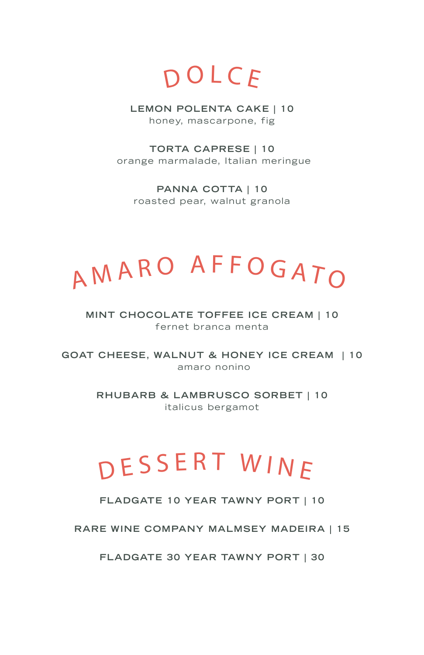$D$  O L C  $E$ 

**LEMON POLENTA CAKE | 10** honey, mascarpone, fig

**TORTA CAPRESE | 10** orange marmalade, Italian meringue

**PANNA COTTA | 10** roasted pear, walnut granola

# A M A R O A F F O G A T O

### **MINT CHOCOLATE TOFFEE ICE CREAM | 10** fernet branca menta

**GOAT CHEESE , WALNUT & HONEY ICE CREAM | 10** amaro nonino

> **RHUBARB & LAMBRUSCO SORBET | 10** italicus bergamot

## D E S S E R T W I N E

**FLADGATE 10 YEAR TAWNY PORT | 10**

**RARE WINE COMPANY MALMSEY MADEIRA | 15**

**FLADGATE 30 YEAR TAWNY PORT | 30**